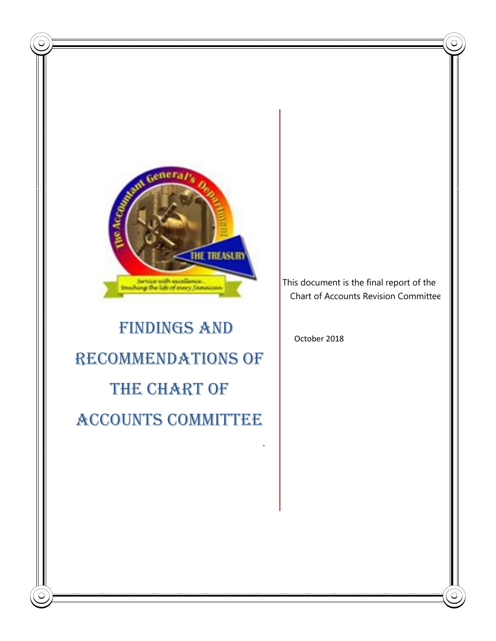

# FINDINGS AND RECOMMENDATIONS OF THE CHART OF ACCOUNTS COMMITTEE

This document is the final report of the Chart of Accounts Revision Committee

October 2018

.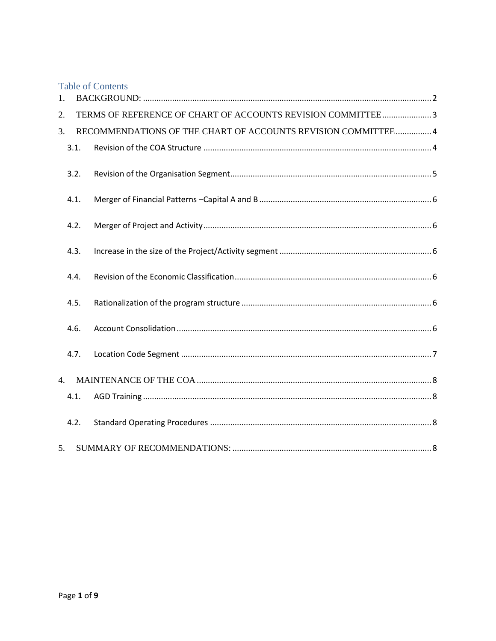| <b>Table of Contents</b>                                            |  |
|---------------------------------------------------------------------|--|
| $\mathbf{1}$ .                                                      |  |
| TERMS OF REFERENCE OF CHART OF ACCOUNTS REVISION COMMITTEE3<br>2.   |  |
| RECOMMENDATIONS OF THE CHART OF ACCOUNTS REVISION COMMITTEE 4<br>3. |  |
| 3.1.                                                                |  |
| 3.2.                                                                |  |
| 4.1.                                                                |  |
| 4.2.                                                                |  |
| 4.3.                                                                |  |
| 4.4.                                                                |  |
| 4.5.                                                                |  |
| 4.6.                                                                |  |
| 4.7.                                                                |  |
| 4.<br>4.1.                                                          |  |
| 4.2.                                                                |  |
| 5 <sub>1</sub>                                                      |  |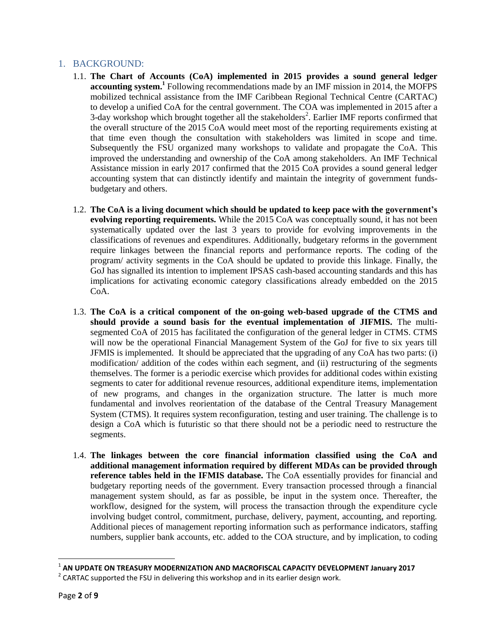## <span id="page-2-0"></span>1. BACKGROUND:

- 1.1. **The Chart of Accounts (CoA) implemented in 2015 provides a sound general ledger accounting system. 1** Following recommendations made by an IMF mission in 2014, the MOFPS mobilized technical assistance from the IMF Caribbean Regional Technical Centre (CARTAC) to develop a unified CoA for the central government. The COA was implemented in 2015 after a 3-day workshop which brought together all the stakeholders<sup>2</sup>. Earlier IMF reports confirmed that the overall structure of the 2015 CoA would meet most of the reporting requirements existing at that time even though the consultation with stakeholders was limited in scope and time. Subsequently the FSU organized many workshops to validate and propagate the CoA. This improved the understanding and ownership of the CoA among stakeholders. An IMF Technical Assistance mission in early 2017 confirmed that the 2015 CoA provides a sound general ledger accounting system that can distinctly identify and maintain the integrity of government fundsbudgetary and others.
- 1.2. **The CoA is a living document which should be updated to keep pace with the government's evolving reporting requirements.** While the 2015 CoA was conceptually sound, it has not been systematically updated over the last 3 years to provide for evolving improvements in the classifications of revenues and expenditures. Additionally, budgetary reforms in the government require linkages between the financial reports and performance reports. The coding of the program/ activity segments in the CoA should be updated to provide this linkage. Finally, the GoJ has signalled its intention to implement IPSAS cash-based accounting standards and this has implications for activating economic category classifications already embedded on the 2015 CoA.
- 1.3. **The CoA is a critical component of the on-going web-based upgrade of the CTMS and should provide a sound basis for the eventual implementation of JIFMIS.** The multisegmented CoA of 2015 has facilitated the configuration of the general ledger in CTMS. CTMS will now be the operational Financial Management System of the GoJ for five to six years till JFMIS is implemented. It should be appreciated that the upgrading of any CoA has two parts: (i) modification/ addition of the codes within each segment, and (ii) restructuring of the segments themselves. The former is a periodic exercise which provides for additional codes within existing segments to cater for additional revenue resources, additional expenditure items, implementation of new programs, and changes in the organization structure. The latter is much more fundamental and involves reorientation of the database of the Central Treasury Management System (CTMS). It requires system reconfiguration, testing and user training. The challenge is to design a CoA which is futuristic so that there should not be a periodic need to restructure the segments.
- 1.4. **The linkages between the core financial information classified using the CoA and additional management information required by different MDAs can be provided through reference tables held in the IFMIS database.** The CoA essentially provides for financial and budgetary reporting needs of the government. Every transaction processed through a financial management system should, as far as possible, be input in the system once. Thereafter, the workflow, designed for the system, will process the transaction through the expenditure cycle involving budget control, commitment, purchase, delivery, payment, accounting, and reporting. Additional pieces of management reporting information such as performance indicators, staffing numbers, supplier bank accounts, etc. added to the COA structure, and by implication, to coding

 1 **AN UPDATE ON TREASURY MODERNIZATION AND MACROFISCAL CAPACITY DEVELOPMENT January 2017**

<sup>&</sup>lt;sup>2</sup> CARTAC supported the FSU in delivering this workshop and in its earlier design work.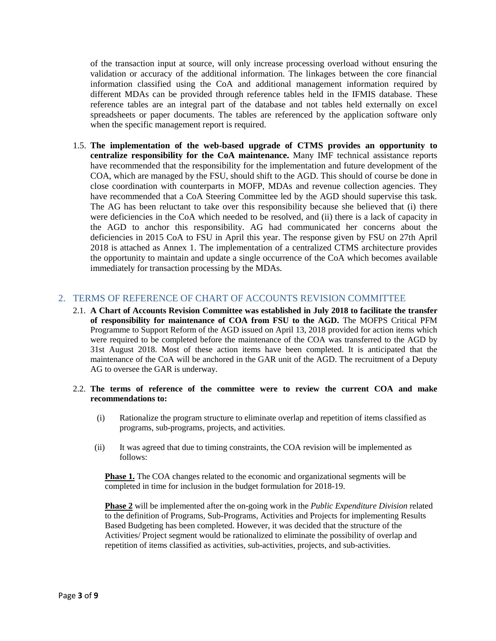of the transaction input at source, will only increase processing overload without ensuring the validation or accuracy of the additional information. The linkages between the core financial information classified using the CoA and additional management information required by different MDAs can be provided through reference tables held in the IFMIS database. These reference tables are an integral part of the database and not tables held externally on excel spreadsheets or paper documents. The tables are referenced by the application software only when the specific management report is required.

1.5. **The implementation of the web-based upgrade of CTMS provides an opportunity to centralize responsibility for the CoA maintenance.** Many IMF technical assistance reports have recommended that the responsibility for the implementation and future development of the COA, which are managed by the FSU, should shift to the AGD. This should of course be done in close coordination with counterparts in MOFP, MDAs and revenue collection agencies. They have recommended that a CoA Steering Committee led by the AGD should supervise this task. The AG has been reluctant to take over this responsibility because she believed that (i) there were deficiencies in the CoA which needed to be resolved, and (ii) there is a lack of capacity in the AGD to anchor this responsibility. AG had communicated her concerns about the deficiencies in 2015 CoA to FSU in April this year. The response given by FSU on 27th April 2018 is attached as Annex 1. The implementation of a centralized CTMS architecture provides the opportunity to maintain and update a single occurrence of the CoA which becomes available immediately for transaction processing by the MDAs.

## <span id="page-3-0"></span>2. TERMS OF REFERENCE OF CHART OF ACCOUNTS REVISION COMMITTEE

- 2.1. **A Chart of Accounts Revision Committee was established in July 2018 to facilitate the transfer of responsibility for maintenance of COA from FSU to the AGD.** The MOFPS Critical PFM Programme to Support Reform of the AGD issued on April 13, 2018 provided for action items which were required to be completed before the maintenance of the COA was transferred to the AGD by 31st August 2018. Most of these action items have been completed. It is anticipated that the maintenance of the CoA will be anchored in the GAR unit of the AGD. The recruitment of a Deputy AG to oversee the GAR is underway.
- 2.2. **The terms of reference of the committee were to review the current COA and make recommendations to:**
	- (i) Rationalize the program structure to eliminate overlap and repetition of items classified as programs, sub-programs, projects, and activities.
	- (ii) It was agreed that due to timing constraints, the COA revision will be implemented as follows:

**Phase 1.** The COA changes related to the economic and organizational segments will be completed in time for inclusion in the budget formulation for 2018-19.

**Phase 2** will be implemented after the on-going work in the *Public Expenditure Division* related to the definition of Programs, Sub-Programs, Activities and Projects for implementing Results Based Budgeting has been completed. However, it was decided that the structure of the Activities/ Project segment would be rationalized to eliminate the possibility of overlap and repetition of items classified as activities, sub-activities, projects, and sub-activities.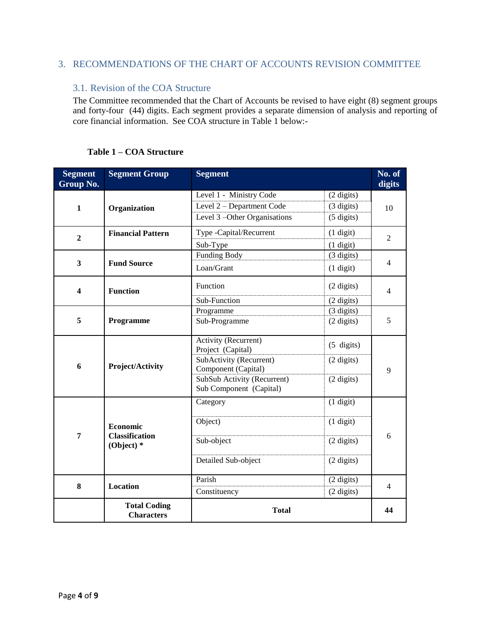# <span id="page-4-0"></span>3. RECOMMENDATIONS OF THE CHART OF ACCOUNTS REVISION COMMITTEE

## <span id="page-4-1"></span>3.1. Revision of the COA Structure

The Committee recommended that the Chart of Accounts be revised to have eight (8) segment groups and forty-four (44) digits. Each segment provides a separate dimension of analysis and reporting of core financial information. See COA structure in Table 1 below:-

| <b>Segment</b><br>Group No. | <b>Segment Group</b>                     | <b>Segment</b>                                     |                      | No. of<br>digits |
|-----------------------------|------------------------------------------|----------------------------------------------------|----------------------|------------------|
|                             |                                          | Level 1 - Ministry Code                            | (2 digits)           |                  |
| $\mathbf{1}$                | Organization                             | Level 2 - Department Code                          | (3 digits)           | 10               |
|                             |                                          | Level 3-Other Organisations                        | $(5 \text{ digits})$ |                  |
| $\overline{2}$              | <b>Financial Pattern</b>                 | Type -Capital/Recurrent                            | $(1$ digit)          | $\overline{2}$   |
|                             |                                          | Sub-Type                                           | $(1 \text{ digit})$  |                  |
| $\mathbf{3}$                |                                          | <b>Funding Body</b>                                | (3 digits)           |                  |
|                             | <b>Fund Source</b>                       | Loan/Grant                                         | $(1 \text{ digit})$  | 4                |
| 4                           | <b>Function</b>                          | Function                                           | (2 digits)           | 4                |
|                             |                                          | Sub-Function                                       | $(2 \text{ digits})$ |                  |
| 5                           |                                          | Programme                                          | (3 digits)           |                  |
|                             | Programme                                | Sub-Programme                                      | (2 digits)           | 5                |
| 6                           |                                          | Activity (Recurrent)                               | $(5 \text{ digits})$ |                  |
|                             |                                          | Project (Capital)                                  |                      |                  |
|                             | Project/Activity                         | SubActivity (Recurrent)                            | $(2 \text{ digits})$ | 9                |
|                             |                                          | Component (Capital)<br>SubSub Activity (Recurrent) |                      |                  |
|                             |                                          | Sub Component (Capital)                            | (2 digits)           |                  |
|                             |                                          | Category                                           | $(1$ digit)          |                  |
| 7                           |                                          |                                                    |                      |                  |
|                             | Economic                                 | Object)                                            | $(1 \text{ digit})$  |                  |
|                             | <b>Classification</b><br>(Object) $*$    | Sub-object                                         | (2 digits)           | 6                |
|                             |                                          | Detailed Sub-object                                | (2 digits)           |                  |
| 8                           | <b>Location</b>                          | Parish                                             | (2 digits)           | 4                |
|                             |                                          | Constituency                                       | (2 digits)           |                  |
|                             | <b>Total Coding</b><br><b>Characters</b> | <b>Total</b>                                       |                      | 44               |

## **Table 1 – COA Structure**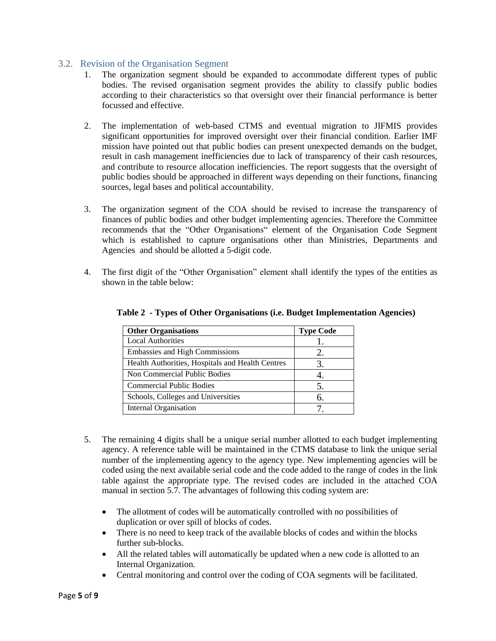## <span id="page-5-0"></span>3.2. Revision of the Organisation Segment

- 1. The organization segment should be expanded to accommodate different types of public bodies. The revised organisation segment provides the ability to classify public bodies according to their characteristics so that oversight over their financial performance is better focussed and effective.
- 2. The implementation of web-based CTMS and eventual migration to JIFMIS provides significant opportunities for improved oversight over their financial condition. Earlier IMF mission have pointed out that public bodies can present unexpected demands on the budget, result in cash management inefficiencies due to lack of transparency of their cash resources, and contribute to resource allocation inefficiencies. The report suggests that the oversight of public bodies should be approached in different ways depending on their functions, financing sources, legal bases and political accountability.
- 3. The organization segment of the COA should be revised to increase the transparency of finances of public bodies and other budget implementing agencies. Therefore the Committee recommends that the "Other Organisations" element of the Organisation Code Segment which is established to capture organisations other than Ministries, Departments and Agencies and should be allotted a 5-digit code.
- 4. The first digit of the "Other Organisation" element shall identify the types of the entities as shown in the table below:

| <b>Other Organisations</b>                       | <b>Type Code</b> |
|--------------------------------------------------|------------------|
| <b>Local Authorities</b>                         |                  |
| <b>Embassies and High Commissions</b>            | 2.               |
| Health Authorities, Hospitals and Health Centres | 3.               |
| Non Commercial Public Bodies                     |                  |
| <b>Commercial Public Bodies</b>                  | 5.               |
| Schools, Colleges and Universities               | 6.               |
| <b>Internal Organisation</b>                     |                  |

#### **Table 2 - Types of Other Organisations (i.e. Budget Implementation Agencies)**

- 5. The remaining 4 digits shall be a unique serial number allotted to each budget implementing agency. A reference table will be maintained in the CTMS database to link the unique serial number of the implementing agency to the agency type. New implementing agencies will be coded using the next available serial code and the code added to the range of codes in the link table against the appropriate type. The revised codes are included in the attached COA manual in section 5.7. The advantages of following this coding system are:
	- The allotment of codes will be automatically controlled with no possibilities of duplication or over spill of blocks of codes.
	- There is no need to keep track of the available blocks of codes and within the blocks further sub-blocks.
	- All the related tables will automatically be updated when a new code is allotted to an Internal Organization.
	- Central monitoring and control over the coding of COA segments will be facilitated.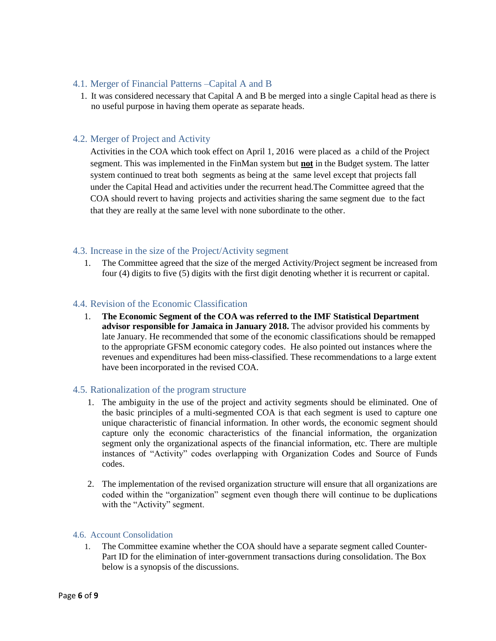## <span id="page-6-0"></span>4.1. Merger of Financial Patterns –Capital A and B

1. It was considered necessary that Capital A and B be merged into a single Capital head as there is no useful purpose in having them operate as separate heads.

## <span id="page-6-1"></span>4.2. Merger of Project and Activity

Activities in the COA which took effect on April 1, 2016 were placed as a child of the Project segment. This was implemented in the FinMan system but **not** in the Budget system. The latter system continued to treat both segments as being at the same level except that projects fall under the Capital Head and activities under the recurrent head.The Committee agreed that the COA should revert to having projects and activities sharing the same segment due to the fact that they are really at the same level with none subordinate to the other.

## <span id="page-6-2"></span>4.3. Increase in the size of the Project/Activity segment

1. The Committee agreed that the size of the merged Activity/Project segment be increased from four (4) digits to five (5) digits with the first digit denoting whether it is recurrent or capital.

## <span id="page-6-3"></span>4.4. Revision of the Economic Classification

1. **The Economic Segment of the COA was referred to the IMF Statistical Department advisor responsible for Jamaica in January 2018.** The advisor provided his comments by late January. He recommended that some of the economic classifications should be remapped to the appropriate GFSM economic category codes. He also pointed out instances where the revenues and expenditures had been miss-classified. These recommendations to a large extent have been incorporated in the revised COA.

## <span id="page-6-4"></span>4.5. Rationalization of the program structure

- 1. The ambiguity in the use of the project and activity segments should be eliminated. One of the basic principles of a multi-segmented COA is that each segment is used to capture one unique characteristic of financial information. In other words, the economic segment should capture only the economic characteristics of the financial information, the organization segment only the organizational aspects of the financial information, etc. There are multiple instances of "Activity" codes overlapping with Organization Codes and Source of Funds codes.
- 2. The implementation of the revised organization structure will ensure that all organizations are coded within the "organization" segment even though there will continue to be duplications with the "Activity" segment.

#### <span id="page-6-5"></span>4.6. Account Consolidation

1. The Committee examine whether the COA should have a separate segment called Counter-Part ID for the elimination of inter-government transactions during consolidation. The Box below is a synopsis of the discussions.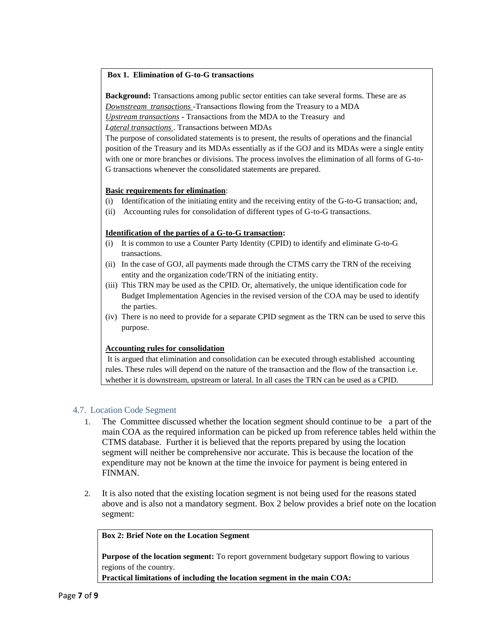#### **Box 1. Elimination of G-to-G transactions**

**Background:** Transactions among public sector entities can take several forms. These are as *Downstream transactions -*Transactions flowing from the Treasury to a MDA *Upstream transactions -* Transactions from the MDA to the Treasury and *Lateral transactions* . Transactions between MDAs

The purpose of consolidated statements is to present, the results of operations and the financial position of the Treasury and its MDAs essentially as if the GOJ and its MDAs were a single entity with one or more branches or divisions. The process involves the elimination of all forms of G-to-G transactions whenever the consolidated statements are prepared.

#### **Basic requirements for elimination**:

- (i) Identification of the initiating entity and the receiving entity of the G-to-G transaction; and,
- (ii) Accounting rules for consolidation of different types of G-to-G transactions.

#### **Identification of the parties of a G-to-G transaction:**

- (i) It is common to use a Counter Party Identity (CPID) to identify and eliminate G-to-G transactions.
- (ii) In the case of GOJ, all payments made through the CTMS carry the TRN of the receiving entity and the organization code/TRN of the initiating entity.
- (iii) This TRN may be used as the CPID. Or, alternatively, the unique identification code for Budget Implementation Agencies in the revised version of the COA may be used to identify the parties.
- (iv) There is no need to provide for a separate CPID segment as the TRN can be used to serve this purpose.

#### **Accounting rules for consolidation**

It is argued that elimination and consolidation can be executed through established accounting rules. These rules will depend on the nature of the transaction and the flow of the transaction i.e. whether it is downstream, upstream or lateral. In all cases the TRN can be used as a CPID.

#### <span id="page-7-0"></span>4.7. Location Code Segment

- 1. The Committee discussed whether the location segment should continue to be a part of the main COA as the required information can be picked up from reference tables held within the CTMS database. Further it is believed that the reports prepared by using the location segment will neither be comprehensive nor accurate. This is because the location of the expenditure may not be known at the time the invoice for payment is being entered in FINMAN.
- 2. It is also noted that the existing location segment is not being used for the reasons stated above and is also not a mandatory segment. Box 2 below provides a brief note on the location segment:

#### **Box 2: Brief Note on the Location Segment**

**Purpose of the location segment:** To report government budgetary support flowing to various regions of the country.

**Practical limitations of including the location segment in the main COA:**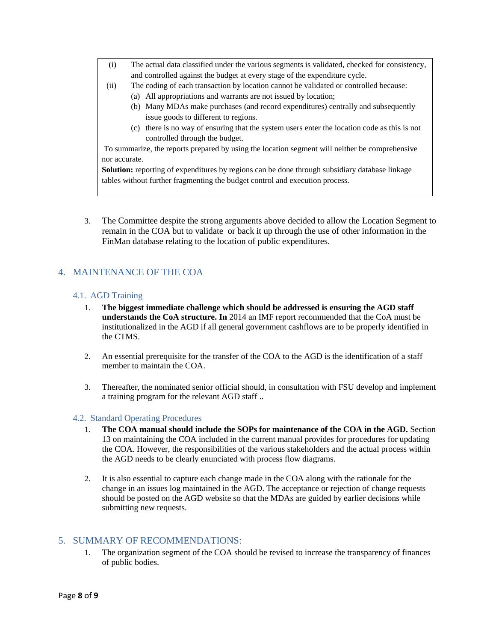- (i) The actual data classified under the various segments is validated, checked for consistency, and controlled against the budget at every stage of the expenditure cycle.
- (ii) The coding of each transaction by location cannot be validated or controlled because:
	- (a) All appropriations and warrants are not issued by location;
	- (b) Many MDAs make purchases (and record expenditures) centrally and subsequently issue goods to different to regions.
	- (c) there is no way of ensuring that the system users enter the location code as this is not controlled through the budget.

To summarize, the reports prepared by using the location segment will neither be comprehensive nor accurate.

**Solution:** reporting of expenditures by regions can be done through subsidiary database linkage tables without further fragmenting the budget control and execution process.

3. The Committee despite the strong arguments above decided to allow the Location Segment to remain in the COA but to validate or back it up through the use of other information in the FinMan database relating to the location of public expenditures.

## <span id="page-8-0"></span>4. MAINTENANCE OF THE COA

#### <span id="page-8-1"></span>4.1. AGD Training

- 1. **The biggest immediate challenge which should be addressed is ensuring the AGD staff understands the CoA structure. In** 2014 an IMF report recommended that the CoA must be institutionalized in the AGD if all general government cashflows are to be properly identified in the CTMS.
- 2. An essential prerequisite for the transfer of the COA to the AGD is the identification of a staff member to maintain the COA.
- 3. Thereafter, the nominated senior official should, in consultation with FSU develop and implement a training program for the relevant AGD staff ..

#### <span id="page-8-2"></span>4.2. Standard Operating Procedures

- 1. **The COA manual should include the SOPs for maintenance of the COA in the AGD.** Section 13 on maintaining the COA included in the current manual provides for procedures for updating the COA. However, the responsibilities of the various stakeholders and the actual process within the AGD needs to be clearly enunciated with process flow diagrams.
- 2. It is also essential to capture each change made in the COA along with the rationale for the change in an issues log maintained in the AGD. The acceptance or rejection of change requests should be posted on the AGD website so that the MDAs are guided by earlier decisions while submitting new requests.

## <span id="page-8-3"></span>5. SUMMARY OF RECOMMENDATIONS:

1. The organization segment of the COA should be revised to increase the transparency of finances of public bodies.